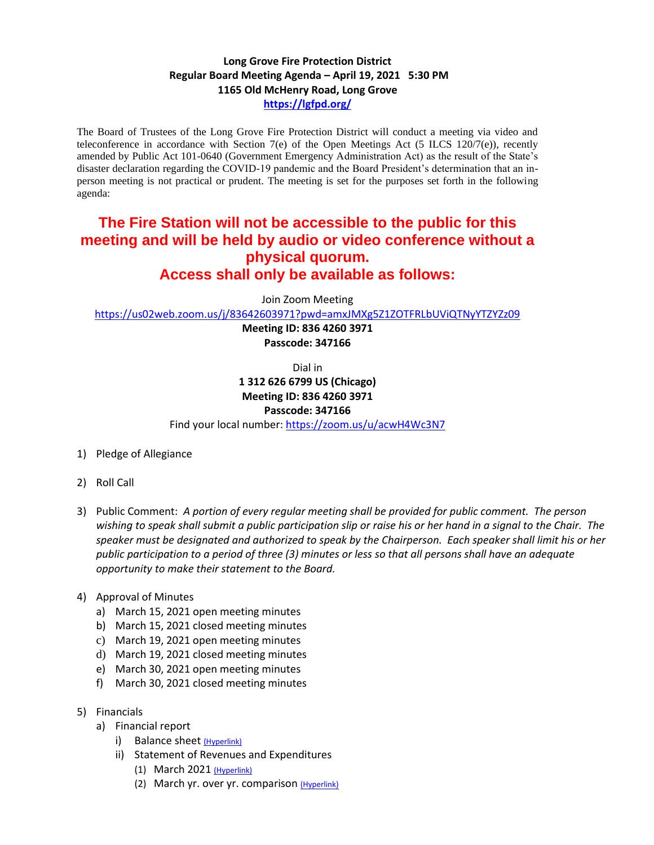## **Long Grove Fire Protection District Regular Board Meeting Agenda – April 19, 2021 5:30 PM 1165 Old McHenry Road, Long Grove <https://lgfpd.org/>**

The Board of Trustees of the Long Grove Fire Protection District will conduct a meeting via video and teleconference in accordance with Section 7(e) of the Open Meetings Act (5 ILCS 120/7(e)), recently amended by Public Act 101-0640 (Government Emergency Administration Act) as the result of the State's disaster declaration regarding the COVID-19 pandemic and the Board President's determination that an inperson meeting is not practical or prudent. The meeting is set for the purposes set forth in the following agenda:

## **The Fire Station will not be accessible to the public for this meeting and will be held by audio or video conference without a physical quorum. Access shall only be available as follows:**

Join Zoom Meeting

<https://us02web.zoom.us/j/83642603971?pwd=amxJMXg5Z1ZOTFRLbUViQTNyYTZYZz09>

**Meeting ID: 836 4260 3971 Passcode: 347166**

Dial in

**1 312 626 6799 US (Chicago) Meeting ID: 836 4260 3971**

## **Passcode: 347166**

Find your local number[: https://zoom.us/u/acwH4Wc3N7](https://zoom.us/u/acwH4Wc3N7)

- 1) Pledge of Allegiance
- 2) Roll Call
- 3) Public Comment: *A portion of every regular meeting shall be provided for public comment. The person wishing to speak shall submit a public participation slip or raise his or her hand in a signal to the Chair. The speaker must be designated and authorized to speak by the Chairperson. Each speaker shall limit his or her public participation to a period of three (3) minutes or less so that all persons shall have an adequate opportunity to make their statement to the Board.*
- 4) Approval of Minutes
	- a) March 15, 2021 open meeting minutes
	- b) March 15, 2021 closed meeting minutes
	- c) March 19, 2021 open meeting minutes
	- d) March 19, 2021 closed meeting minutes
	- e) March 30, 2021 open meeting minutes
	- f) March 30, 2021 closed meeting minutes
- 5) Financials
	- a) Financial report
		- i) Balance sheet [\(Hyperlink\)](https://itgophers-my.sharepoint.com/:b:/g/personal/msmall_lgfpd_org/EfaEyKnZnX1JhhkZhFkyHFEBhcnAHSTCbjm_cfPDJR3Z3w?e=FJy1dB)
		- ii) Statement of Revenues and Expenditures
			- (1) March 2021 [\(Hyperlink\)](https://itgophers-my.sharepoint.com/:b:/g/personal/msmall_lgfpd_org/EaeHiY2KDVhJq4DzABvt1XoBgxM0oD-tAcRhNzdXktHUvQ?e=MZGLSI)
			- (2) March yr. over yr. comparison [\(Hyperlink\)](https://itgophers-my.sharepoint.com/:b:/g/personal/msmall_lgfpd_org/EaLK81MHlihMu6YYWyNZXjYBvj5DfAkXtvE2OlItgZ8PCA?e=lYf293)